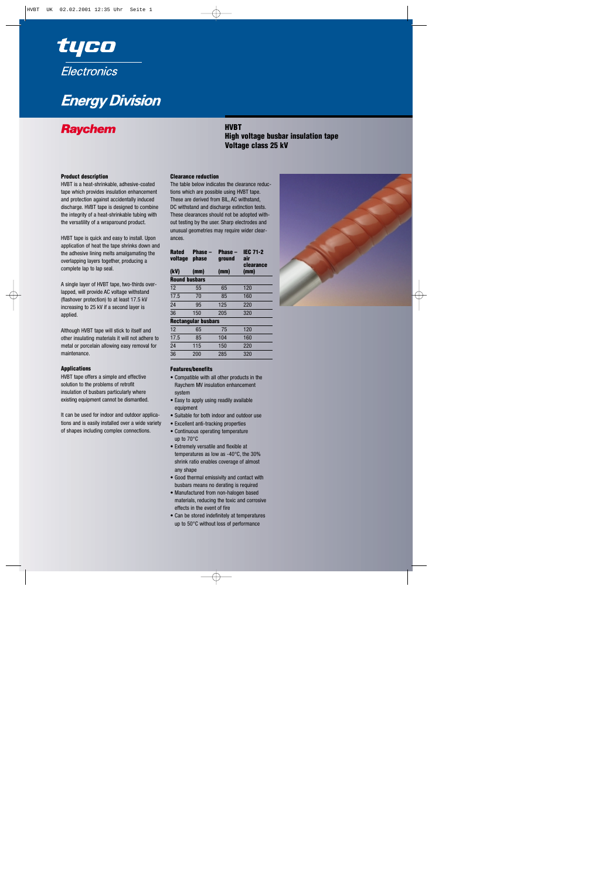

# **Energy Division**

# **HVBT Fight Constructs Constructs Constructs Property**<br>
High voltage busbar insulation tape **Voltage class 25 kV**

### **Product description**

HVBT is a heat-shrinkable, adhesive-coated tape which provides insulation enhancement and protection against accidentally induced discharge. HVBT tape is designed to combine the integrity of a heat-shrinkable tubing with the versatility of a wraparound product.

HVBT tape is quick and easy to install. Upon application of heat the tape shrinks down and the adhesive lining melts amalgamating the overlapping layers together, producing a complete lap to lap seal.

A single layer of HVBT tape, two-thirds overlapped, will provide AC voltage withstand (flashover protection) to at least 17.5 kV increasing to 25 kV if a second layer is applied.

Although HVBT tape will stick to itself and other insulating materials it will not adhere to metal or porcelain allowing easy removal for maintenance.

#### **Applications**

HVBT tape offers a simple and effective solution to the problems of retrofit insulation of busbars particularly where existing equipment cannot be dismantled.

It can be used for indoor and outdoor applications and is easily installed over a wide variety of shapes including complex connections.

#### **Clearance reduction**

The table below indicates the clearance reductions which are possible using HVBT tape. These are derived from BIL, AC withstand, DC withstand and discharge extinction tests. These clearances should not be adopted without testing by the user. Sharp electrodes and unusual geometries may require wider clearances.

| Phase –<br><b>phase</b><br>(mm) | Phase –<br>ground<br>(mm) | <b>IEC 71-2</b><br>air<br>clearance<br>(mm) |  |  |  |
|---------------------------------|---------------------------|---------------------------------------------|--|--|--|
| <b>Round busbars</b>            |                           |                                             |  |  |  |
| 55                              | 65                        | 120                                         |  |  |  |
| 70                              | 85                        | 160                                         |  |  |  |
| 95                              | 125                       | 220                                         |  |  |  |
| 150                             | 205                       | 320                                         |  |  |  |
|                                 |                           |                                             |  |  |  |

### **Rectangular busbars**

| 12              | 65  | 75  | 120 |  |
|-----------------|-----|-----|-----|--|
| 17.5            | 85  | 104 | 160 |  |
| $\overline{24}$ | 115 | 150 | 220 |  |
| 36              | 200 | 285 | 320 |  |

#### **Features/benefits**

- Compatible with all other products in the Raychem MV insulation enhancement system
- Easy to apply using readily available equipment
- Suitable for both indoor and outdoor use
- Excellent anti-tracking properties
- Continuous operating temperature up to 70°C
- Extremely versatile and flexible at temperatures as low as -40°C, the 30% shrink ratio enables coverage of almost any shape
- Good thermal emissivity and contact with busbars means no derating is required
- Manufactured from non-halogen based materials, reducing the toxic and corrosive effects in the event of fire
- Can be stored indefinitely at temperatures up to 50°C without loss of performance